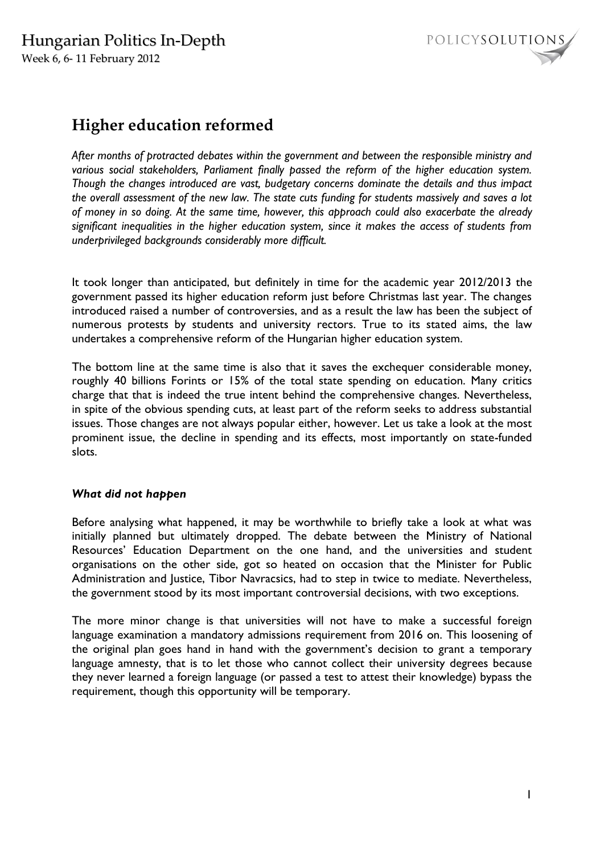

# **Higher education reformed**

*After months of protracted debates within the government and between the responsible ministry and various social stakeholders, Parliament finally passed the reform of the higher education system. Though the changes introduced are vast, budgetary concerns dominate the details and thus impact the overall assessment of the new law. The state cuts funding for students massively and saves a lot of money in so doing. At the same time, however, this approach could also exacerbate the already significant inequalities in the higher education system, since it makes the access of students from underprivileged backgrounds considerably more difficult.* 

It took longer than anticipated, but definitely in time for the academic year 2012/2013 the government passed its higher education reform just before Christmas last year. The changes introduced raised a number of controversies, and as a result the law has been the subject of numerous protests by students and university rectors. True to its stated aims, the law undertakes a comprehensive reform of the Hungarian higher education system.

The bottom line at the same time is also that it saves the exchequer considerable money, roughly 40 billions Forints or 15% of the total state spending on education. Many critics charge that that is indeed the true intent behind the comprehensive changes. Nevertheless, in spite of the obvious spending cuts, at least part of the reform seeks to address substantial issues. Those changes are not always popular either, however. Let us take a look at the most prominent issue, the decline in spending and its effects, most importantly on state-funded slots.

## *What did not happen*

Before analysing what happened, it may be worthwhile to briefly take a look at what was initially planned but ultimately dropped. The debate between the Ministry of National Resources' Education Department on the one hand, and the universities and student organisations on the other side, got so heated on occasion that the Minister for Public Administration and Justice, Tibor Navracsics, had to step in twice to mediate. Nevertheless, the government stood by its most important controversial decisions, with two exceptions.

The more minor change is that universities will not have to make a successful foreign language examination a mandatory admissions requirement from 2016 on. This loosening of the original plan goes hand in hand with the government's decision to grant a temporary language amnesty, that is to let those who cannot collect their university degrees because they never learned a foreign language (or passed a test to attest their knowledge) bypass the requirement, though this opportunity will be temporary.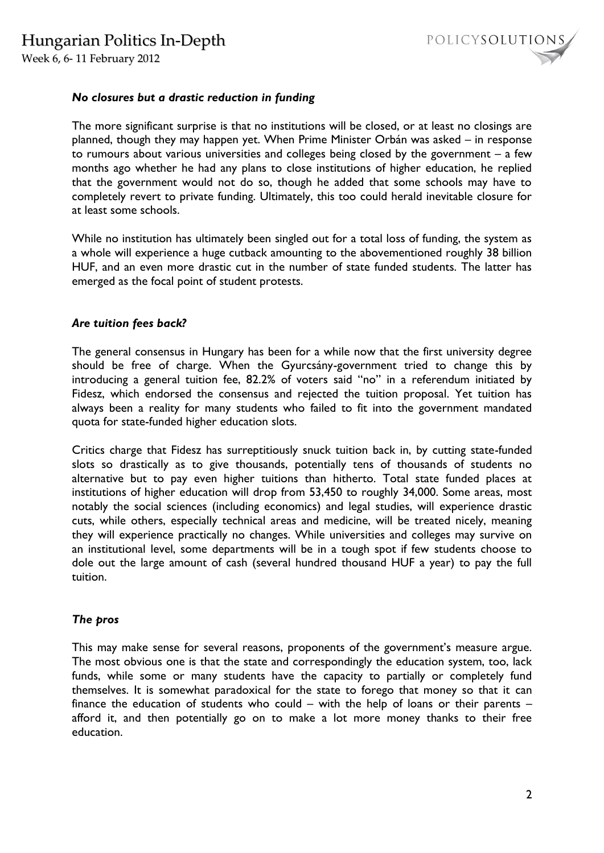Week 6, 6- 11 February 2012



## *No closures but a drastic reduction in funding*

The more significant surprise is that no institutions will be closed, or at least no closings are planned, though they may happen yet. When Prime Minister Orbán was asked – in response to rumours about various universities and colleges being closed by the government – a few months ago whether he had any plans to close institutions of higher education, he replied that the government would not do so, though he added that some schools may have to completely revert to private funding. Ultimately, this too could herald inevitable closure for at least some schools.

While no institution has ultimately been singled out for a total loss of funding, the system as a whole will experience a huge cutback amounting to the abovementioned roughly 38 billion HUF, and an even more drastic cut in the number of state funded students. The latter has emerged as the focal point of student protests.

### *Are tuition fees back?*

The general consensus in Hungary has been for a while now that the first university degree should be free of charge. When the Gyurcsány-government tried to change this by introducing a general tuition fee, 82.2% of voters said "no" in a referendum initiated by Fidesz, which endorsed the consensus and rejected the tuition proposal. Yet tuition has always been a reality for many students who failed to fit into the government mandated quota for state-funded higher education slots.

Critics charge that Fidesz has surreptitiously snuck tuition back in, by cutting state-funded slots so drastically as to give thousands, potentially tens of thousands of students no alternative but to pay even higher tuitions than hitherto. Total state funded places at institutions of higher education will drop from 53,450 to roughly 34,000. Some areas, most notably the social sciences (including economics) and legal studies, will experience drastic cuts, while others, especially technical areas and medicine, will be treated nicely, meaning they will experience practically no changes. While universities and colleges may survive on an institutional level, some departments will be in a tough spot if few students choose to dole out the large amount of cash (several hundred thousand HUF a year) to pay the full tuition.

#### *The pros*

This may make sense for several reasons, proponents of the government's measure argue. The most obvious one is that the state and correspondingly the education system, too, lack funds, while some or many students have the capacity to partially or completely fund themselves. It is somewhat paradoxical for the state to forego that money so that it can finance the education of students who could – with the help of loans or their parents – afford it, and then potentially go on to make a lot more money thanks to their free education.